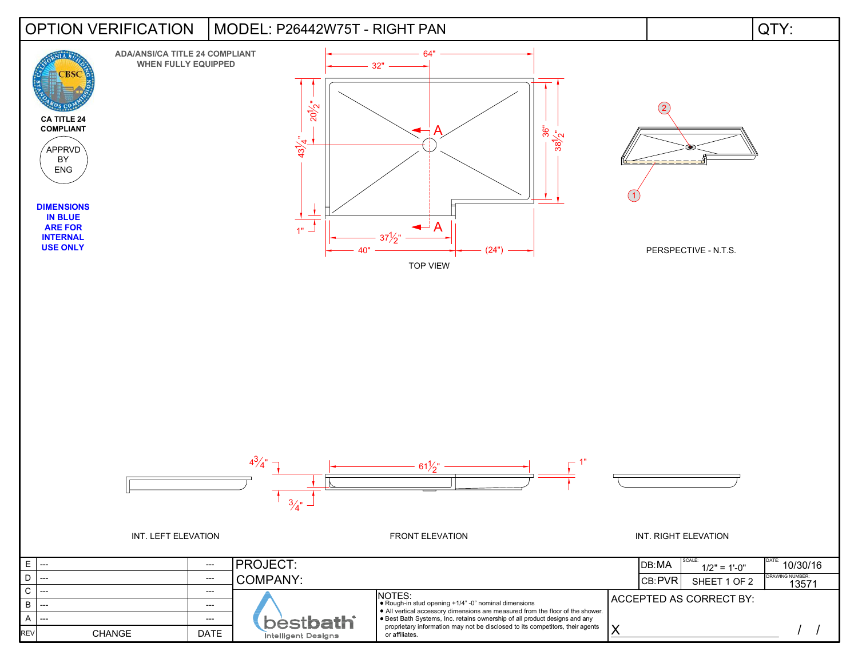